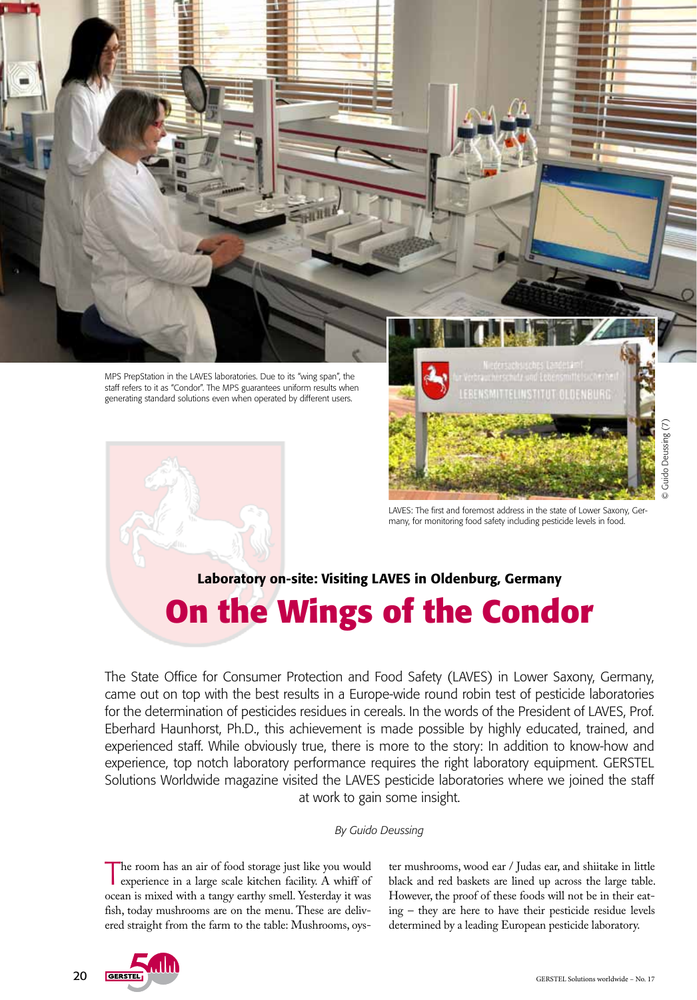

staff refers to it as "Condor". The MPS guarantees uniform results when generating standard solutions even when operated by different users.



OLUENBURG

© Guido Deussing (7)

Guido Deussing (7)

LAVES: The first and foremost address in the state of Lower Saxony, Germany, for monitoring food safety including pesticide levels in food.

# Laboratory on-site: Visiting LAVES in Oldenburg, Germany **On the Wings of the Condor**

The State Office for Consumer Protection and Food Safety (LAVES) in Lower Saxony, Germany, came out on top with the best results in a Europe-wide round robin test of pesticide laboratories for the determination of pesticides residues in cereals. In the words of the President of LAVES, Prof. Eberhard Haunhorst, Ph.D., this achievement is made possible by highly educated, trained, and experienced staff. While obviously true, there is more to the story: In addition to know-how and experience, top notch laboratory performance requires the right laboratory equipment. GERSTEL Solutions Worldwide magazine visited the LAVES pesticide laboratories where we joined the staff at work to gain some insight.

#### *By Guido Deussing*

The room has an air of food storage just like you would experience in a large scale kitchen facility. A whiff of ocean is mixed with a tangy earthy smell. Yesterday it was fish, today mushrooms are on the menu. These are delivered straight from the farm to the table: Mushrooms, oyster mushrooms, wood ear / Judas ear, and shiitake in little black and red baskets are lined up across the large table. However, the proof of these foods will not be in their eating – they are here to have their pesticide residue levels determined by a leading European pesticide laboratory.

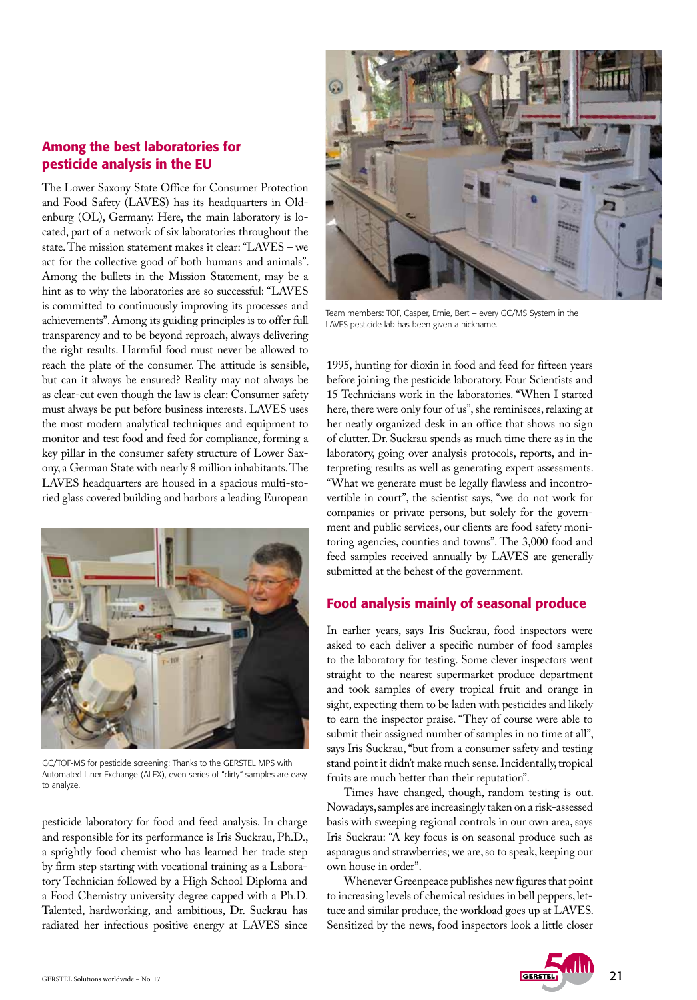## Among the best laboratories for pesticide analysis in the EU

The Lower Saxony State Office for Consumer Protection and Food Safety (LAVES) has its headquarters in Oldenburg (OL), Germany. Here, the main laboratory is located, part of a network of six laboratories throughout the state. The mission statement makes it clear: "LAVES – we act for the collective good of both humans and animals". Among the bullets in the Mission Statement, may be a hint as to why the laboratories are so successful: "LAVES is committed to continuously improving its processes and achievements". Among its guiding principles is to offer full transparency and to be beyond reproach, always delivering the right results. Harmful food must never be allowed to reach the plate of the consumer. The attitude is sensible, but can it always be ensured? Reality may not always be as clear-cut even though the law is clear: Consumer safety must always be put before business interests. LAVES uses the most modern analytical techniques and equipment to monitor and test food and feed for compliance, forming a key pillar in the consumer safety structure of Lower Saxony, a German State with nearly 8 million inhabitants. The LAVES headquarters are housed in a spacious multi-storied glass covered building and harbors a leading European



GC/TOF-MS for pesticide screening: Thanks to the GERSTEL MPS with Automated Liner Exchange (ALEX), even series of "dirty" samples are easy to analyze.

pesticide laboratory for food and feed analysis. In charge and responsible for its performance is Iris Suckrau, Ph.D., a sprightly food chemist who has learned her trade step by firm step starting with vocational training as a Laboratory Technician followed by a High School Diploma and a Food Chemistry university degree capped with a Ph.D. Talented, hardworking, and ambitious, Dr. Suckrau has radiated her infectious positive energy at LAVES since



Team members: TOF, Casper, Ernie, Bert – every GC/MS System in the LAVES pesticide lab has been given a nickname.

1995, hunting for dioxin in food and feed for fifteen years before joining the pesticide laboratory. Four Scientists and 15 Technicians work in the laboratories. "When I started here, there were only four of us", she reminisces, relaxing at her neatly organized desk in an office that shows no sign of clutter. Dr. Suckrau spends as much time there as in the laboratory, going over analysis protocols, reports, and interpreting results as well as generating expert assessments. "What we generate must be legally flawless and incontrovertible in court", the scientist says, "we do not work for companies or private persons, but solely for the government and public services, our clients are food safety monitoring agencies, counties and towns". The 3,000 food and feed samples received annually by LAVES are generally submitted at the behest of the government.

### Food analysis mainly of seasonal produce

In earlier years, says Iris Suckrau, food inspectors were asked to each deliver a specific number of food samples to the laboratory for testing. Some clever inspectors went straight to the nearest supermarket produce department and took samples of every tropical fruit and orange in sight, expecting them to be laden with pesticides and likely to earn the inspector praise. "They of course were able to submit their assigned number of samples in no time at all", says Iris Suckrau, "but from a consumer safety and testing stand point it didn't make much sense. Incidentally, tropical fruits are much better than their reputation".

Times have changed, though, random testing is out. Nowadays, samples are increasingly taken on a risk-assessed basis with sweeping regional controls in our own area, says Iris Suckrau: "A key focus is on seasonal produce such as asparagus and strawberries; we are, so to speak, keeping our own house in order".

Whenever Greenpeace publishes new figures that point to increasing levels of chemical residues in bell peppers, lettuce and similar produce, the workload goes up at LAVES. Sensitized by the news, food inspectors look a little closer

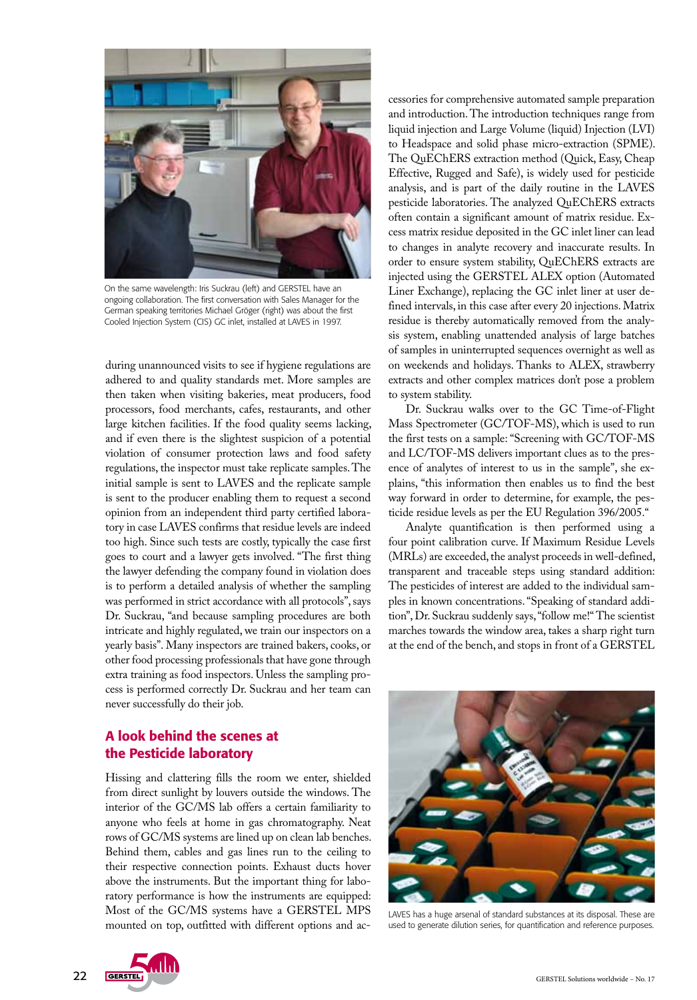

On the same wavelength: Iris Suckrau (left) and GERSTEL have an ongoing collaboration. The first conversation with Sales Manager for the German speaking territories Michael Gröger (right) was about the first Cooled Injection System (CIS) GC inlet, installed at LAVES in 1997.

during unannounced visits to see if hygiene regulations are adhered to and quality standards met. More samples are then taken when visiting bakeries, meat producers, food processors, food merchants, cafes, restaurants, and other large kitchen facilities. If the food quality seems lacking, and if even there is the slightest suspicion of a potential violation of consumer protection laws and food safety regulations, the inspector must take replicate samples. The initial sample is sent to LAVES and the replicate sample is sent to the producer enabling them to request a second opinion from an independent third party certified laboratory in case LAVES confirms that residue levels are indeed too high. Since such tests are costly, typically the case first goes to court and a lawyer gets involved. "The first thing the lawyer defending the company found in violation does is to perform a detailed analysis of whether the sampling was performed in strict accordance with all protocols", says Dr. Suckrau, "and because sampling procedures are both intricate and highly regulated, we train our inspectors on a yearly basis". Many inspectors are trained bakers, cooks, or other food processing professionals that have gone through extra training as food inspectors. Unless the sampling process is performed correctly Dr. Suckrau and her team can never successfully do their job.

## A look behind the scenes at the Pesticide laboratory

Hissing and clattering fills the room we enter, shielded from direct sunlight by louvers outside the windows. The interior of the GC/MS lab offers a certain familiarity to anyone who feels at home in gas chromatography. Neat rows of GC/MS systems are lined up on clean lab benches. Behind them, cables and gas lines run to the ceiling to their respective connection points. Exhaust ducts hover above the instruments. But the important thing for laboratory performance is how the instruments are equipped: Most of the GC/MS systems have a GERSTEL MPS mounted on top, outfitted with different options and ac-



Dr. Suckrau walks over to the GC Time-of-Flight Mass Spectrometer (GC/TOF-MS), which is used to run the first tests on a sample: "Screening with GC/TOF-MS and LC/TOF-MS delivers important clues as to the presence of analytes of interest to us in the sample", she explains, "this information then enables us to find the best way forward in order to determine, for example, the pesticide residue levels as per the EU Regulation 396/2005."

Analyte quantification is then performed using a four point calibration curve. If Maximum Residue Levels (MRLs) are exceeded, the analyst proceeds in well-defined, transparent and traceable steps using standard addition: The pesticides of interest are added to the individual samples in known concentrations. "Speaking of standard addition", Dr. Suckrau suddenly says, "follow me!" The scientist marches towards the window area, takes a sharp right turn at the end of the bench, and stops in front of a GERSTEL



LAVES has a huge arsenal of standard substances at its disposal. These are used to generate dilution series, for quantification and reference purposes.